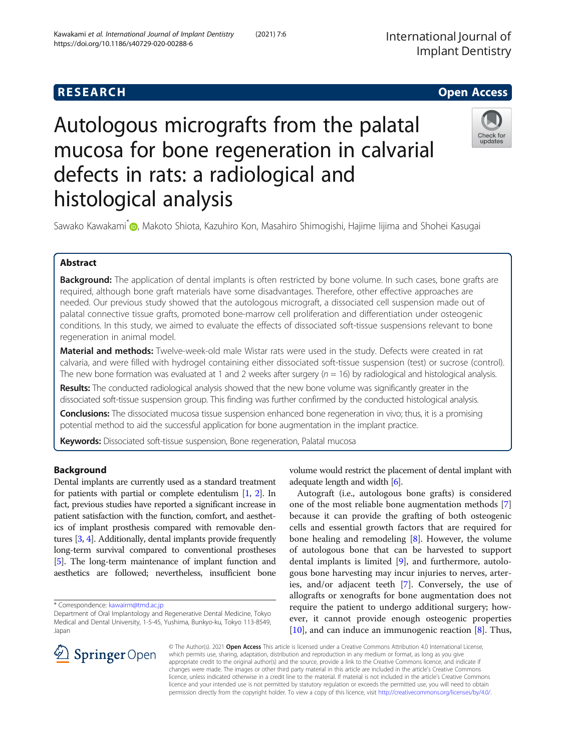# Autologous micrografts from the palatal mucosa for bone regeneration in calvarial defects in rats: a radiological and histological analysis



Sawako Kawakami<sup>\*</sup> [,](http://orcid.org/0000-0002-5153-6812) Makoto Shiota, Kazuhiro Kon, Masahiro Shimogishi, Hajime Iijima and Shohei Kasugai

# Abstract

Background: The application of dental implants is often restricted by bone volume. In such cases, bone grafts are required, although bone graft materials have some disadvantages. Therefore, other effective approaches are needed. Our previous study showed that the autologous micrograft, a dissociated cell suspension made out of palatal connective tissue grafts, promoted bone-marrow cell proliferation and differentiation under osteogenic conditions. In this study, we aimed to evaluate the effects of dissociated soft-tissue suspensions relevant to bone regeneration in animal model.

Material and methods: Twelve-week-old male Wistar rats were used in the study. Defects were created in rat calvaria, and were filled with hydrogel containing either dissociated soft-tissue suspension (test) or sucrose (control). The new bone formation was evaluated at 1 and 2 weeks after surgery ( $n = 16$ ) by radiological and histological analysis.

Results: The conducted radiological analysis showed that the new bone volume was significantly greater in the dissociated soft-tissue suspension group. This finding was further confirmed by the conducted histological analysis.

Conclusions: The dissociated mucosa tissue suspension enhanced bone regeneration in vivo; thus, it is a promising potential method to aid the successful application for bone augmentation in the implant practice.

Keywords: Dissociated soft-tissue suspension, Bone regeneration, Palatal mucosa

# Background

Dental implants are currently used as a standard treatment for patients with partial or complete edentulism [\[1,](#page-6-0) [2](#page-6-0)]. In fact, previous studies have reported a significant increase in patient satisfaction with the function, comfort, and aesthetics of implant prosthesis compared with removable dentures [[3](#page-6-0), [4\]](#page-6-0). Additionally, dental implants provide frequently long-term survival compared to conventional prostheses [[5](#page-6-0)]. The long-term maintenance of implant function and aesthetics are followed; nevertheless, insufficient bone

\* Correspondence: [kawairm@tmd.ac.jp](mailto:kawairm@tmd.ac.jp)

volume would restrict the placement of dental implant with adequate length and width [\[6](#page-6-0)].

Autograft (i.e., autologous bone grafts) is considered one of the most reliable bone augmentation methods [\[7](#page-6-0)] because it can provide the grafting of both osteogenic cells and essential growth factors that are required for bone healing and remodeling [[8\]](#page-6-0). However, the volume of autologous bone that can be harvested to support dental implants is limited [[9\]](#page-6-0), and furthermore, autologous bone harvesting may incur injuries to nerves, arteries, and/or adjacent teeth [[7\]](#page-6-0). Conversely, the use of allografts or xenografts for bone augmentation does not require the patient to undergo additional surgery; however, it cannot provide enough osteogenic properties [[10\]](#page-6-0), and can induce an immunogenic reaction [\[8](#page-6-0)]. Thus,



© The Author(s). 2021 Open Access This article is licensed under a Creative Commons Attribution 4.0 International License, which permits use, sharing, adaptation, distribution and reproduction in any medium or format, as long as you give appropriate credit to the original author(s) and the source, provide a link to the Creative Commons licence, and indicate if changes were made. The images or other third party material in this article are included in the article's Creative Commons licence, unless indicated otherwise in a credit line to the material. If material is not included in the article's Creative Commons licence and your intended use is not permitted by statutory regulation or exceeds the permitted use, you will need to obtain permission directly from the copyright holder. To view a copy of this licence, visit <http://creativecommons.org/licenses/by/4.0/>.

Department of Oral Implantology and Regenerative Dental Medicine, Tokyo Medical and Dental University, 1-5-45, Yushima, Bunkyo-ku, Tokyo 113-8549, Japan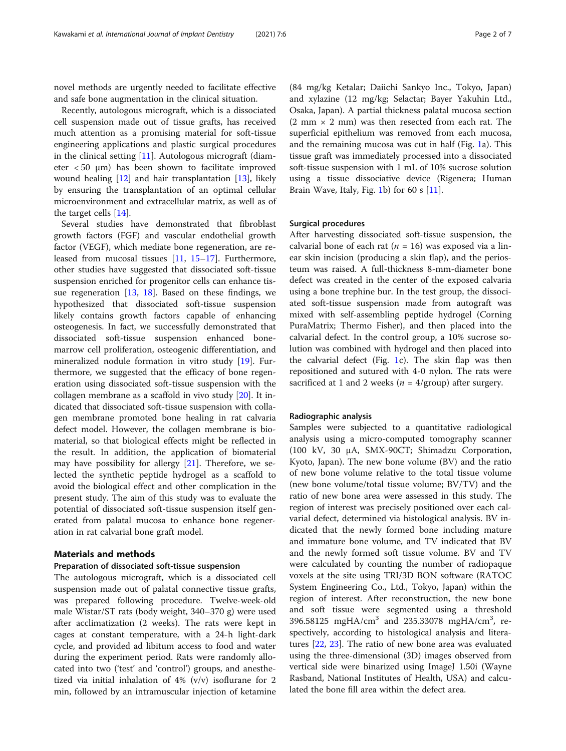novel methods are urgently needed to facilitate effective and safe bone augmentation in the clinical situation.

Recently, autologous micrograft, which is a dissociated cell suspension made out of tissue grafts, has received much attention as a promising material for soft-tissue engineering applications and plastic surgical procedures in the clinical setting [\[11\]](#page-6-0). Autologous micrograft (diameter < 50 μm) has been shown to facilitate improved wound healing [\[12\]](#page-6-0) and hair transplantation [\[13\]](#page-6-0), likely by ensuring the transplantation of an optimal cellular microenvironment and extracellular matrix, as well as of the target cells [[14\]](#page-6-0).

Several studies have demonstrated that fibroblast growth factors (FGF) and vascular endothelial growth factor (VEGF), which mediate bone regeneration, are released from mucosal tissues [\[11,](#page-6-0) [15](#page-6-0)–[17](#page-6-0)]. Furthermore, other studies have suggested that dissociated soft-tissue suspension enriched for progenitor cells can enhance tissue regeneration  $[13, 18]$  $[13, 18]$  $[13, 18]$ . Based on these findings, we hypothesized that dissociated soft-tissue suspension likely contains growth factors capable of enhancing osteogenesis. In fact, we successfully demonstrated that dissociated soft-tissue suspension enhanced bonemarrow cell proliferation, osteogenic differentiation, and mineralized nodule formation in vitro study [\[19\]](#page-6-0). Furthermore, we suggested that the efficacy of bone regeneration using dissociated soft-tissue suspension with the collagen membrane as a scaffold in vivo study [\[20](#page-6-0)]. It indicated that dissociated soft-tissue suspension with collagen membrane promoted bone healing in rat calvaria defect model. However, the collagen membrane is biomaterial, so that biological effects might be reflected in the result. In addition, the application of biomaterial may have possibility for allergy [[21](#page-6-0)]. Therefore, we selected the synthetic peptide hydrogel as a scaffold to avoid the biological effect and other complication in the present study. The aim of this study was to evaluate the potential of dissociated soft-tissue suspension itself generated from palatal mucosa to enhance bone regeneration in rat calvarial bone graft model.

# Materials and methods

# Preparation of dissociated soft-tissue suspension

The autologous micrograft, which is a dissociated cell suspension made out of palatal connective tissue grafts, was prepared following procedure. Twelve-week-old male Wistar/ST rats (body weight, 340–370 g) were used after acclimatization (2 weeks). The rats were kept in cages at constant temperature, with a 24-h light-dark cycle, and provided ad libitum access to food and water during the experiment period. Rats were randomly allocated into two ('test' and 'control') groups, and anesthetized via initial inhalation of 4% (v/v) isoflurane for 2 min, followed by an intramuscular injection of ketamine (84 mg/kg Ketalar; Daiichi Sankyo Inc., Tokyo, Japan) and xylazine (12 mg/kg; Selactar; Bayer Yakuhin Ltd., Osaka, Japan). A partial thickness palatal mucosa section  $(2 \text{ mm} \times 2 \text{ mm})$  was then resected from each rat. The superficial epithelium was removed from each mucosa, and the remaining mucosa was cut in half (Fig. [1](#page-2-0)a). This tissue graft was immediately processed into a dissociated soft-tissue suspension with 1 mL of 10% sucrose solution using a tissue dissociative device (Rigenera; Human Brain Wave, Italy, Fig. [1](#page-2-0)b) for 60 s  $[11]$  $[11]$  $[11]$ .

## Surgical procedures

After harvesting dissociated soft-tissue suspension, the calvarial bone of each rat ( $n = 16$ ) was exposed via a linear skin incision (producing a skin flap), and the periosteum was raised. A full-thickness 8-mm-diameter bone defect was created in the center of the exposed calvaria using a bone trephine bur. In the test group, the dissociated soft-tissue suspension made from autograft was mixed with self-assembling peptide hydrogel (Corning PuraMatrix; Thermo Fisher), and then placed into the calvarial defect. In the control group, a 10% sucrose solution was combined with hydrogel and then placed into the calvarial defect (Fig. [1](#page-2-0)c). The skin flap was then repositioned and sutured with 4-0 nylon. The rats were sacrificed at 1 and 2 weeks ( $n = 4$ /group) after surgery.

#### Radiographic analysis

Samples were subjected to a quantitative radiological analysis using a micro-computed tomography scanner (100 kV, 30 μA, SMX-90CT; Shimadzu Corporation, Kyoto, Japan). The new bone volume (BV) and the ratio of new bone volume relative to the total tissue volume (new bone volume/total tissue volume; BV/TV) and the ratio of new bone area were assessed in this study. The region of interest was precisely positioned over each calvarial defect, determined via histological analysis. BV indicated that the newly formed bone including mature and immature bone volume, and TV indicated that BV and the newly formed soft tissue volume. BV and TV were calculated by counting the number of radiopaque voxels at the site using TRI/3D BON software (RATOC System Engineering Co., Ltd., Tokyo, Japan) within the region of interest. After reconstruction, the new bone and soft tissue were segmented using a threshold 396.58125 mgHA/cm<sup>3</sup> and 235.33078 mgHA/cm<sup>3</sup>, respectively, according to histological analysis and literatures [[22](#page-6-0), [23\]](#page-6-0). The ratio of new bone area was evaluated using the three-dimensional (3D) images observed from vertical side were binarized using ImageJ 1.50i (Wayne Rasband, National Institutes of Health, USA) and calculated the bone fill area within the defect area.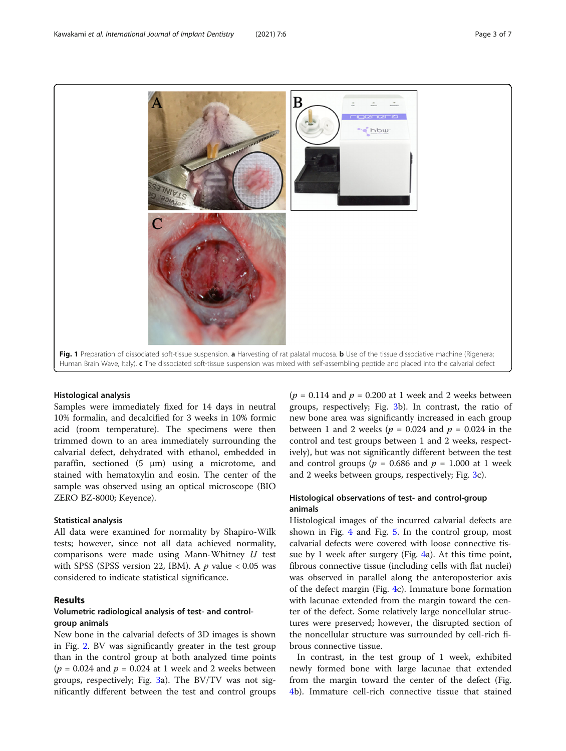<span id="page-2-0"></span>

#### Histological analysis

Samples were immediately fixed for 14 days in neutral 10% formalin, and decalcified for 3 weeks in 10% formic acid (room temperature). The specimens were then trimmed down to an area immediately surrounding the calvarial defect, dehydrated with ethanol, embedded in paraffin, sectioned (5 μm) using a microtome, and stained with hematoxylin and eosin. The center of the sample was observed using an optical microscope (BIO ZERO BZ-8000; Keyence).

### Statistical analysis

All data were examined for normality by Shapiro-Wilk tests; however, since not all data achieved normality, comparisons were made using Mann-Whitney U test with SPSS (SPSS version 22, IBM). A  $p$  value < 0.05 was considered to indicate statistical significance.

# Results

# Volumetric radiological analysis of test- and controlgroup animals

New bone in the calvarial defects of 3D images is shown in Fig. [2](#page-3-0). BV was significantly greater in the test group than in the control group at both analyzed time points  $(p = 0.024$  and  $p = 0.024$  at 1 week and 2 weeks between groups, respectively; Fig. [3](#page-4-0)a). The BV/TV was not significantly different between the test and control groups

 $(p = 0.114$  and  $p = 0.200$  at 1 week and 2 weeks between groups, respectively; Fig. [3b](#page-4-0)). In contrast, the ratio of new bone area was significantly increased in each group between 1 and 2 weeks ( $p = 0.024$  and  $p = 0.024$  in the control and test groups between 1 and 2 weeks, respectively), but was not significantly different between the test and control groups ( $p = 0.686$  and  $p = 1.000$  at 1 week and 2 weeks between groups, respectively; Fig. [3](#page-4-0)c).

# Histological observations of test- and control-group animals

Histological images of the incurred calvarial defects are shown in Fig. [4](#page-4-0) and Fig. [5](#page-5-0). In the control group, most calvarial defects were covered with loose connective tissue by 1 week after surgery (Fig. [4](#page-4-0)a). At this time point, fibrous connective tissue (including cells with flat nuclei) was observed in parallel along the anteroposterior axis of the defect margin (Fig. [4c](#page-4-0)). Immature bone formation with lacunae extended from the margin toward the center of the defect. Some relatively large noncellular structures were preserved; however, the disrupted section of the noncellular structure was surrounded by cell-rich fibrous connective tissue.

In contrast, in the test group of 1 week, exhibited newly formed bone with large lacunae that extended from the margin toward the center of the defect (Fig. [4b](#page-4-0)). Immature cell-rich connective tissue that stained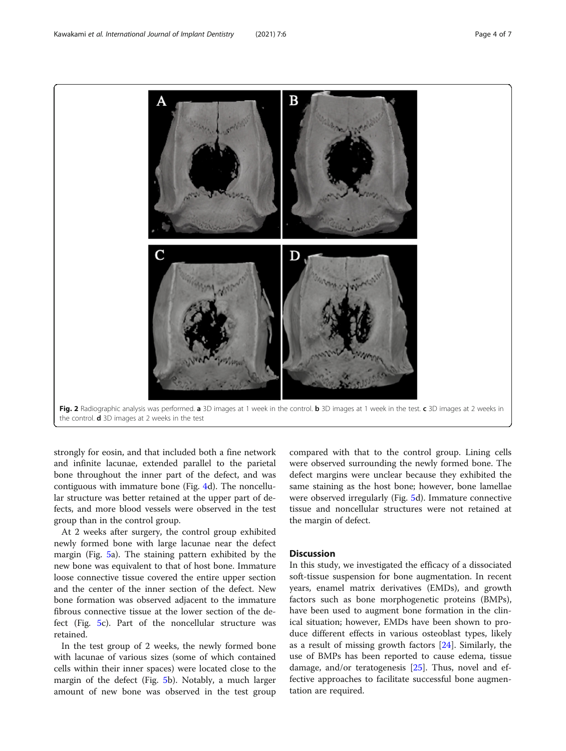# strongly for eosin, and that included both a fine network and infinite lacunae, extended parallel to the parietal bone throughout the inner part of the defect, and was contiguous with immature bone (Fig. [4](#page-4-0)d). The noncellular structure was better retained at the upper part of defects, and more blood vessels were observed in the test group than in the control group.

At 2 weeks after surgery, the control group exhibited newly formed bone with large lacunae near the defect margin (Fig. [5a](#page-5-0)). The staining pattern exhibited by the new bone was equivalent to that of host bone. Immature loose connective tissue covered the entire upper section and the center of the inner section of the defect. New bone formation was observed adjacent to the immature fibrous connective tissue at the lower section of the defect (Fig. [5c](#page-5-0)). Part of the noncellular structure was retained.

In the test group of 2 weeks, the newly formed bone with lacunae of various sizes (some of which contained cells within their inner spaces) were located close to the margin of the defect (Fig. [5](#page-5-0)b). Notably, a much larger amount of new bone was observed in the test group

compared with that to the control group. Lining cells were observed surrounding the newly formed bone. The defect margins were unclear because they exhibited the same staining as the host bone; however, bone lamellae were observed irregularly (Fig. [5](#page-5-0)d). Immature connective tissue and noncellular structures were not retained at the margin of defect.

# Discussion

In this study, we investigated the efficacy of a dissociated soft-tissue suspension for bone augmentation. In recent years, enamel matrix derivatives (EMDs), and growth factors such as bone morphogenetic proteins (BMPs), have been used to augment bone formation in the clinical situation; however, EMDs have been shown to produce different effects in various osteoblast types, likely as a result of missing growth factors [[24\]](#page-6-0). Similarly, the use of BMPs has been reported to cause edema, tissue damage, and/or teratogenesis [[25\]](#page-6-0). Thus, novel and effective approaches to facilitate successful bone augmentation are required.

<span id="page-3-0"></span>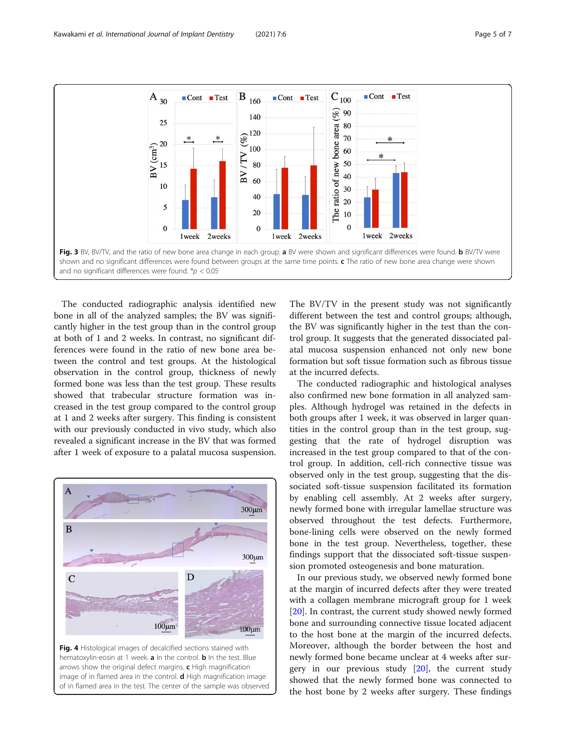<span id="page-4-0"></span>

The conducted radiographic analysis identified new bone in all of the analyzed samples; the BV was significantly higher in the test group than in the control group at both of 1 and 2 weeks. In contrast, no significant differences were found in the ratio of new bone area between the control and test groups. At the histological observation in the control group, thickness of newly formed bone was less than the test group. These results showed that trabecular structure formation was increased in the test group compared to the control group at 1 and 2 weeks after surgery. This finding is consistent with our previously conducted in vivo study, which also revealed a significant increase in the BV that was formed after 1 week of exposure to a palatal mucosa suspension.



of in flamed area in the test. The center of the sample was observed

The BV/TV in the present study was not significantly different between the test and control groups; although, the BV was significantly higher in the test than the control group. It suggests that the generated dissociated palatal mucosa suspension enhanced not only new bone formation but soft tissue formation such as fibrous tissue at the incurred defects.

The conducted radiographic and histological analyses also confirmed new bone formation in all analyzed samples. Although hydrogel was retained in the defects in both groups after 1 week, it was observed in larger quantities in the control group than in the test group, suggesting that the rate of hydrogel disruption was increased in the test group compared to that of the control group. In addition, cell-rich connective tissue was observed only in the test group, suggesting that the dissociated soft-tissue suspension facilitated its formation by enabling cell assembly. At 2 weeks after surgery, newly formed bone with irregular lamellae structure was observed throughout the test defects. Furthermore, bone-lining cells were observed on the newly formed bone in the test group. Nevertheless, together, these findings support that the dissociated soft-tissue suspension promoted osteogenesis and bone maturation.

In our previous study, we observed newly formed bone at the margin of incurred defects after they were treated with a collagen membrane micrograft group for 1 week [[20\]](#page-6-0). In contrast, the current study showed newly formed bone and surrounding connective tissue located adjacent to the host bone at the margin of the incurred defects. Moreover, although the border between the host and newly formed bone became unclear at 4 weeks after surgery in our previous study [[20\]](#page-6-0), the current study showed that the newly formed bone was connected to the host bone by 2 weeks after surgery. These findings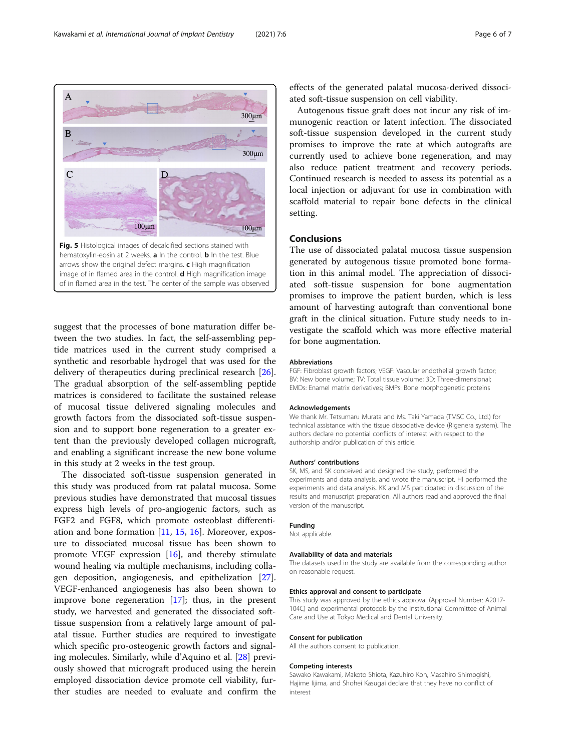<span id="page-5-0"></span>

suggest that the processes of bone maturation differ between the two studies. In fact, the self-assembling peptide matrices used in the current study comprised a synthetic and resorbable hydrogel that was used for the delivery of therapeutics during preclinical research [\[26](#page-6-0)]. The gradual absorption of the self-assembling peptide matrices is considered to facilitate the sustained release of mucosal tissue delivered signaling molecules and growth factors from the dissociated soft-tissue suspension and to support bone regeneration to a greater extent than the previously developed collagen micrograft, and enabling a significant increase the new bone volume in this study at 2 weeks in the test group.

The dissociated soft-tissue suspension generated in this study was produced from rat palatal mucosa. Some previous studies have demonstrated that mucosal tissues express high levels of pro-angiogenic factors, such as FGF2 and FGF8, which promote osteoblast differentiation and bone formation [\[11](#page-6-0), [15](#page-6-0), [16\]](#page-6-0). Moreover, exposure to dissociated mucosal tissue has been shown to promote VEGF expression [\[16](#page-6-0)], and thereby stimulate wound healing via multiple mechanisms, including collagen deposition, angiogenesis, and epithelization [\[27](#page-6-0)]. VEGF-enhanced angiogenesis has also been shown to improve bone regeneration [[17\]](#page-6-0); thus, in the present study, we harvested and generated the dissociated softtissue suspension from a relatively large amount of palatal tissue. Further studies are required to investigate which specific pro-osteogenic growth factors and signaling molecules. Similarly, while d'Aquino et al. [[28](#page-6-0)] previously showed that micrograft produced using the herein employed dissociation device promote cell viability, further studies are needed to evaluate and confirm the

effects of the generated palatal mucosa-derived dissociated soft-tissue suspension on cell viability.

Autogenous tissue graft does not incur any risk of immunogenic reaction or latent infection. The dissociated soft-tissue suspension developed in the current study promises to improve the rate at which autografts are currently used to achieve bone regeneration, and may also reduce patient treatment and recovery periods. Continued research is needed to assess its potential as a local injection or adjuvant for use in combination with scaffold material to repair bone defects in the clinical setting.

# Conclusions

The use of dissociated palatal mucosa tissue suspension generated by autogenous tissue promoted bone formation in this animal model. The appreciation of dissociated soft-tissue suspension for bone augmentation promises to improve the patient burden, which is less amount of harvesting autograft than conventional bone graft in the clinical situation. Future study needs to investigate the scaffold which was more effective material for bone augmentation.

#### Abbreviations

FGF: Fibroblast growth factors; VEGF: Vascular endothelial growth factor; BV: New bone volume; TV: Total tissue volume; 3D: Three-dimensional; EMDs: Enamel matrix derivatives; BMPs: Bone morphogenetic proteins

#### Acknowledgements

We thank Mr. Tetsumaru Murata and Ms. Taki Yamada (TMSC Co., Ltd.) for technical assistance with the tissue dissociative device (Rigenera system). The authors declare no potential conflicts of interest with respect to the authorship and/or publication of this article.

#### Authors' contributions

SK, MS, and SK conceived and designed the study, performed the experiments and data analysis, and wrote the manuscript. HI performed the experiments and data analysis. KK and MS participated in discussion of the results and manuscript preparation. All authors read and approved the final version of the manuscript.

#### Funding

Not applicable.

#### Availability of data and materials

The datasets used in the study are available from the corresponding author on reasonable request.

#### Ethics approval and consent to participate

This study was approved by the ethics approval (Approval Number: A2017- 104C) and experimental protocols by the Institutional Committee of Animal Care and Use at Tokyo Medical and Dental University.

#### Consent for publication

All the authors consent to publication.

#### Competing interests

Sawako Kawakami, Makoto Shiota, Kazuhiro Kon, Masahiro Shimogishi, Hajime Iijima, and Shohei Kasugai declare that they have no conflict of interest